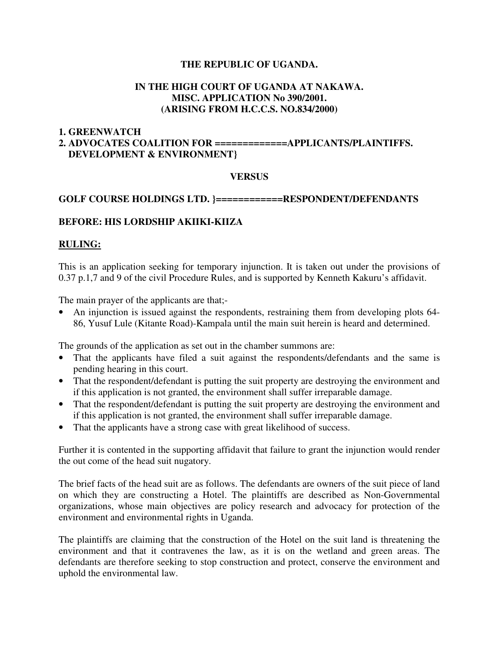## **THE REPUBLIC OF UGANDA.**

## **IN THE HIGH COURT OF UGANDA AT NAKAWA. MISC. APPLICATION No 390/2001. (ARISING FROM H.C.C.S. NO.834/2000)**

#### **1. GREENWATCH**

# **2. ADVOCATES COALITION FOR =============APPLICANTS/PLAINTIFFS. DEVELOPMENT & ENVIRONMENT}**

#### **VERSUS**

#### **GOLF COURSE HOLDINGS LTD. }============RESPONDENT/DEFENDANTS**

## **BEFORE: HIS LORDSHIP AKIIKI-KIIZA**

#### **RULING:**

This is an application seeking for temporary injunction. It is taken out under the provisions of 0.37 p.1,7 and 9 of the civil Procedure Rules, and is supported by Kenneth Kakuru's affidavit.

The main prayer of the applicants are that;-

• An injunction is issued against the respondents, restraining them from developing plots 64- 86, Yusuf Lule (Kitante Road)-Kampala until the main suit herein is heard and determined.

The grounds of the application as set out in the chamber summons are:

- That the applicants have filed a suit against the respondents/defendants and the same is pending hearing in this court.
- That the respondent/defendant is putting the suit property are destroying the environment and if this application is not granted, the environment shall suffer irreparable damage.
- That the respondent/defendant is putting the suit property are destroying the environment and if this application is not granted, the environment shall suffer irreparable damage.
- That the applicants have a strong case with great likelihood of success.

Further it is contented in the supporting affidavit that failure to grant the injunction would render the out come of the head suit nugatory.

The brief facts of the head suit are as follows. The defendants are owners of the suit piece of land on which they are constructing a Hotel. The plaintiffs are described as Non-Governmental organizations, whose main objectives are policy research and advocacy for protection of the environment and environmental rights in Uganda.

The plaintiffs are claiming that the construction of the Hotel on the suit land is threatening the environment and that it contravenes the law, as it is on the wetland and green areas. The defendants are therefore seeking to stop construction and protect, conserve the environment and uphold the environmental law.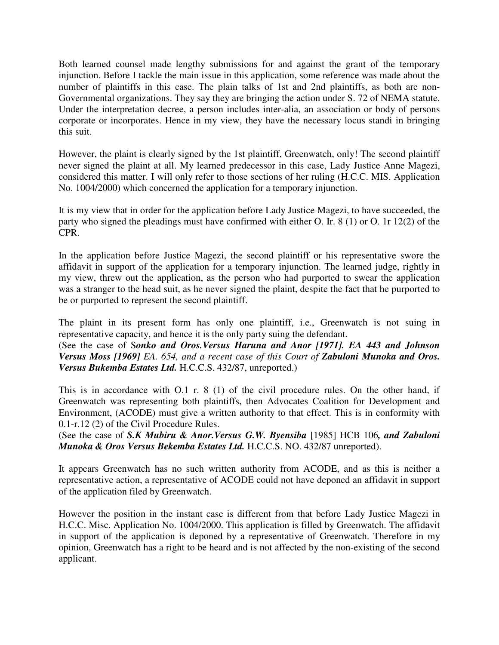Both learned counsel made lengthy submissions for and against the grant of the temporary injunction. Before I tackle the main issue in this application, some reference was made about the number of plaintiffs in this case. The plain talks of 1st and 2nd plaintiffs, as both are non-Governmental organizations. They say they are bringing the action under S. 72 of NEMA statute. Under the interpretation decree, a person includes inter-alia, an association or body of persons corporate or incorporates. Hence in my view, they have the necessary locus standi in bringing this suit.

However, the plaint is clearly signed by the 1st plaintiff, Greenwatch, only! The second plaintiff never signed the plaint at all. My learned predecessor in this case, Lady Justice Anne Magezi, considered this matter. I will only refer to those sections of her ruling (H.C.C. MIS. Application No. 1004/2000) which concerned the application for a temporary injunction.

It is my view that in order for the application before Lady Justice Magezi, to have succeeded, the party who signed the pleadings must have confirmed with either O. Ir. 8 (1) or O. 1r 12(2) of the CPR.

In the application before Justice Magezi, the second plaintiff or his representative swore the affidavit in support of the application for a temporary injunction. The learned judge, rightly in my view, threw out the application, as the person who had purported to swear the application was a stranger to the head suit, as he never signed the plaint, despite the fact that he purported to be or purported to represent the second plaintiff.

The plaint in its present form has only one plaintiff, i.e., Greenwatch is not suing in representative capacity, and hence it is the only party suing the defendant.

(See the case of S*onko and Oros.Versus Haruna and Anor [1971]. EA 443 and Johnson Versus Moss [1969] EA. 654, and a recent case of this Court of Zabuloni Munoka and Oros. Versus Bukemba Estates Ltd.* H.C.C.S. 432/87, unreported.)

This is in accordance with O.1 r. 8 (1) of the civil procedure rules. On the other hand, if Greenwatch was representing both plaintiffs, then Advocates Coalition for Development and Environment, (ACODE) must give a written authority to that effect. This is in conformity with 0.1-r.12 (2) of the Civil Procedure Rules.

(See the case of *S.K Mubiru & Anor.Versus G.W. Byensiba* [1985] HCB 106*, and Zabuloni Munoka & Oros Versus Bekemba Estates Ltd.* H.C.C.S. NO. 432/87 unreported).

It appears Greenwatch has no such written authority from ACODE, and as this is neither a representative action, a representative of ACODE could not have deponed an affidavit in support of the application filed by Greenwatch.

However the position in the instant case is different from that before Lady Justice Magezi in H.C.C. Misc. Application No. 1004/2000. This application is filled by Greenwatch. The affidavit in support of the application is deponed by a representative of Greenwatch. Therefore in my opinion, Greenwatch has a right to be heard and is not affected by the non-existing of the second applicant.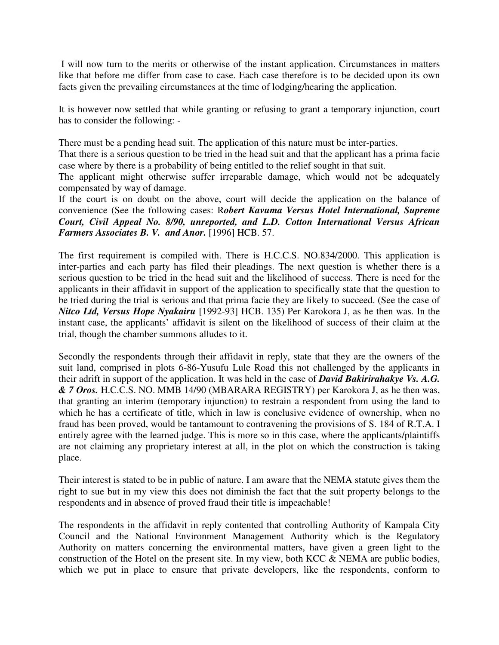I will now turn to the merits or otherwise of the instant application. Circumstances in matters like that before me differ from case to case. Each case therefore is to be decided upon its own facts given the prevailing circumstances at the time of lodging/hearing the application.

It is however now settled that while granting or refusing to grant a temporary injunction, court has to consider the following: -

There must be a pending head suit. The application of this nature must be inter-parties.

That there is a serious question to be tried in the head suit and that the applicant has a prima facie case where by there is a probability of being entitled to the relief sought in that suit.

The applicant might otherwise suffer irreparable damage, which would not be adequately compensated by way of damage.

If the court is on doubt on the above, court will decide the application on the balance of convenience (See the following cases: R*obert Kavuma Versus Hotel International, Supreme Court, Civil Appeal No. 8/90, unreported, and L.D. Cotton International Versus African Farmers Associates B. V. and Anor.* [1996] HCB. 57.

The first requirement is compiled with. There is H.C.C.S. NO.834/2000. This application is inter-parties and each party has filed their pleadings. The next question is whether there is a serious question to be tried in the head suit and the likelihood of success. There is need for the applicants in their affidavit in support of the application to specifically state that the question to be tried during the trial is serious and that prima facie they are likely to succeed. (See the case of *Nitco Ltd, Versus Hope Nyakairu* [1992-93] HCB. 135) Per Karokora J, as he then was. In the instant case, the applicants' affidavit is silent on the likelihood of success of their claim at the trial, though the chamber summons alludes to it.

Secondly the respondents through their affidavit in reply, state that they are the owners of the suit land, comprised in plots 6-86-Yusufu Lule Road this not challenged by the applicants in their adrift in support of the application. It was held in the case of *David Bakirirahakye Vs. A.G. & 7 Oros.* H.C.C.S. NO. MMB 14/90 (MBARARA REGISTRY) per Karokora J, as he then was, that granting an interim (temporary injunction) to restrain a respondent from using the land to which he has a certificate of title, which in law is conclusive evidence of ownership, when no fraud has been proved, would be tantamount to contravening the provisions of S. 184 of R.T.A. I entirely agree with the learned judge. This is more so in this case, where the applicants/plaintiffs are not claiming any proprietary interest at all, in the plot on which the construction is taking place.

Their interest is stated to be in public of nature. I am aware that the NEMA statute gives them the right to sue but in my view this does not diminish the fact that the suit property belongs to the respondents and in absence of proved fraud their title is impeachable!

The respondents in the affidavit in reply contented that controlling Authority of Kampala City Council and the National Environment Management Authority which is the Regulatory Authority on matters concerning the environmental matters, have given a green light to the construction of the Hotel on the present site. In my view, both KCC & NEMA are public bodies, which we put in place to ensure that private developers, like the respondents, conform to